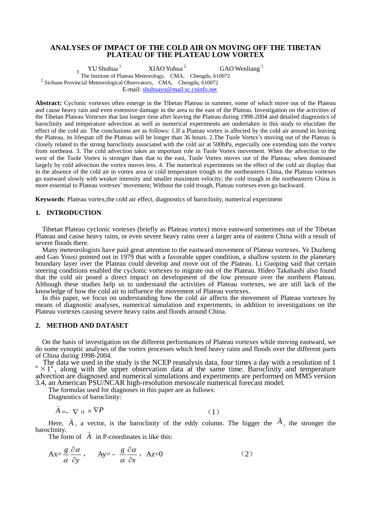# **ANALYSES OF IMPACT OF THE COLD AIR ON MOVING OFF THE TIBETAN PLATEAU OF THE PLATEAU LOW VORTEX**

<sup>1</sup> The Institute of Plateau Meteorology, CMA, Chengdu, 610072 GAO Wenliang $<sup>1</sup>$ </sup> <sup>2</sup> Sichuan Provincial Meteorological Observatory, CMA, Chengdu, 610072 E-mail: [shuhuayu@mail.sc.cninfo.net](mailto:shuhuayu@mail.sc.cninfo.net)

**Abstract:** Cyclonic vortexes often emerge in the Tibetan Plateau in summer, some of which move out of the Plateau and cause heavy rain and even extensive damage in the area to the east of the Plateau. Investigation on the activities of the Tibetan Plateau Vortexes that last longer time after leaving the Plateau during 1998-2004 and detailed diagnostics of baroclinity and temperature advection as well as numerical experiments are undertaken in this study to elucidate the effect of the cold air. The conclusions are as follows: 1.If a Plateau vortex is affected by the cold air around its leaving the Plateau, its lifespan off the Plateau will be longer than 36 hours. 2.The Tuole Vortex's moving out of the Plateau is closely related to the strong baroclinity associated with the cold air at 500hPa, especially one extending into the vortex from northeast. 3. The cold advection takes an important role in Tuole Vortex movement. When the advection to the west of the Tuole Vortex is stronger than that to the east, Tuole Vortex moves out of the Plateau; when dominated largely by cold advection the vortex moves less. 4. The numerical experiments on the effect of the cold air display that in the absence of the cold air in vortex area or cold temperature trough in the northeastern China, the Plateau vortexes go eastward slowly with weaker intensity and smaller maximum velocity; the cold trough in the northeastern China is more essential to Plateau vortexes' movement; Without the cold trough, Plateau vortexes even go backward.

**Keywords**: Plateau vortex,the cold air effect, diagnostics of baroclinity, numerical experiment

## **1. INTRODUCTION**

Tibetan Plateau cyclonic vortexes (briefly as Plateau vortex) move eastward sometimes out of the Tibetan Plateau and cause heavy rains, or even severe heavy rains over a larger area of eastern China with a result of severe floods there.

Many meteorologists have paid great attention to the eastward movement of Plateau vortexes. Ye Duzheng and Gao Youxi pointed out in 1979 that with a favorable upper condition, a shallow system in the planetary boundary layer over the Plateau could develop and move out of the Plateau. Li Guoping said that certain steering conditions enabled the cyclonic vortexes to migrate out of the Plateau. Hideo Takahashi also found that the cold air posed a direct impact on development of the low pressure over the northern Plateau. Although these studies help us to understand the activities of Plateau vortexes, we are still lack of the knowledge of how the cold air to influence the movement of Plateau vortexes.

In this paper, we focus on understanding how the cold air affects the movement of Plateau vortexes by means of diagnostic analyses, numerical simulation and experiments, in addition to investigations on the Plateau vortexes causing severe heavy rains and floods around China.

## **2. METHOD AND DATASET**

On the basis of investigation on the different performances of Plateau vortexes while moving eastward, we do some synoptic analyses of the vortex processes which bred heavy rains and floods over the different parts

The data we used in the study is the NCEP reanalysis data, four times a day with a resolution of 1  $\degree \times 1\degree$ , along with the upper observation data at the same time. Baroclinity and temperature advection are diagnosed and numerical simulations and experiments are performed on MM5 version 3.4, an American PSU/NCAR high-resolution mesoscale numerical forecast model.

The formulas used for diagnoses in this paper are as follows:

Diagnostics of baroclinity:

$$
\vec{A} = -\nabla \mathbf{a} \times \nabla P \tag{1}
$$

 $A = -\nabla \alpha \times \nabla P$  (1)<br>Here,  $\vec{A}$ , a vector, is the baroclinity of the eddy column. The bigger the  $\vec{A}$ , the stronger the baroclinity.

The form of  $\vec{A}$  in P-coordinates is like this:

$$
Ax = \frac{g}{\alpha} \frac{\partial \alpha}{\partial y}, \quad Ay = -\frac{g}{\alpha} \frac{\partial \alpha}{\partial x}, \quad Az = 0
$$
 (2)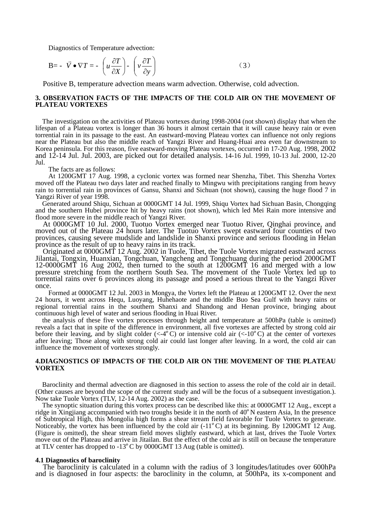Diagnostics of Temperature advection:

$$
\mathbf{B} = -\overrightarrow{V} \bullet \nabla T = -\left(u\frac{\partial T}{\partial X}\right) - \left(v\frac{\partial T}{\partial y}\right) \tag{3}
$$

Positive B, temperature advection means warm advection. Otherwise, cold advection.

## **3. OBSERVATION FACTS OF THE IMPACTS OF THE COLD AIR ON THE MOVEMENT OF PLATEAU VORTEXES**

The investigation on the activities of Plateau vortexes during 1998-2004 (not shown) display that when the lifespan of a Plateau vortex is longer than 36 hours it almost certain that it will cause heavy rain or even torrential rain in its passage to the east. An eastward-moving Plateau vortex can influence not only regions near the Plateau but also the middle reach of Yangzi River and Huang-Huai area even far downstream to Korea peninsula. For this reason, five eastward-moving Plateau vortexes, occurred in 17-20 Aug. 1998, 2002 and 12-14 Jul. Jul. 2003, are picked out for detailed analysis. 14-16 Jul. 1999, 10-13 Jul. 2000, 12-20 Jul.

The facts are as follows:

At 1200GMT 17 Aug. 1998, a cyclonic vortex was formed near Shenzha, Tibet. This Shenzha Vortex moved off the Plateau two days later and reached finally to Mingwu with precipitations ranging from heavy rain to torrential rain in provinces of Gansu, Shanxi and Sichuan (not shown), causing the huge flood 7 in Yangzi River of year 1998.

Generated around Shiqu, Sichuan at 0000GMT 14 Jul. 1999, Shiqu Vortex had Sichuan Basin, Chongqing and the southern Hubei province hit by heavy rains (not shown), which led Mei Rain more intensive and flood more severe in the middle reach of Yangzi River.

At 0000GMT 10 Jul. 2000, Tuotuo Vortex emerged near Tuotuo River, Qinghai province, and moved out of the Plateau 24 hours later. The Tuotuo Vortex swept eastward four counties of two provinces, causing severe mudslide and landslide in Shanxi province and serious flooding in Helan province as the result of up to heavy rains in its track.

Originated at 0000GMT 12 Aug. 2002 in Tuole, Tibet, the Tuole Vortex migrated eastward across Jilantai, Tongxin, Huanxian, Tongchuan, Yangcheng and Tongchuang during the period 2000GMT 12-0000GMT 16 Aug 2002, then turned to the south at 1200GMT 16 and merged with a low pressure stretching from the northern South Sea. The movement of the Tuole Vortex led up to torrential rains over 6 provinces along its passage and posed a serious threat to the Yangzi River once.

Formed at 0000GMT 12 Jul. 2003 in Mongya, the Vortex left the Plateau at 1200GMT 12. Over the next 24 hours, it went across Hequ, Luoyang, Huhehaote and the middle Buo Sea Gulf with heavy rains or regional torrential rains in the southern Shanxi and Shandong and Henan province, bringing about continuous high level of water and serious flooding in Huai River.

the analysis of these five vortex processes through height and temperature at 500hPa (table is omitted) reveals a fact that in spite of the difference in environment, all five vortexes are affected by strong cold air before their leaving, and by slight colder  $( $-4^{\circ}C$ )$  or intensive cold air  $( $-10^{\circ}C$ )$  at the center of vortexes after leaving; Those along with strong cold air could last longer after leaving. In a word, the cold air can influence the movement of vortexes strongly.

# **4.DIAGNOSTICS OF IMPACTS OF THE COLD AIR ON THE MOVEMENT OF THE PLATEAU VORTEX**

Baroclinity and thermal advection are diagnosed in this section to assess the role of the cold air in detail. (Other causes are beyond the scope of the current study and will be the focus of a subsequent investigation.). Now take Tuole Vortex (TLV, 12-14 Aug. 2002) as the case.

The synoptic situation during this vortex process can be described like this: at 0000GMT 12 Aug., except a ridge in Xingjiang accompanied with two troughs beside it in the north of 40ºN eastern Asia, In the presence of Subtropical High, this Mongolia high forms a shear stream field favorable for Tuole Vortex to generate. Noticeably, the vortex has been influenced by the cold air (-11ºC) at its beginning. By 1200GMT 12 Aug. (Figure is omitted), the shear stream field moves slightly eastward, which at last, drives the Tuole Vortex move out of the Plateau and arrive in Jitailan. But the effect of the cold air is still on because the temperature at TLV center has dropped to -13ºC by 0000GMT 13 Aug (table is omitted).

## **4.1 Diagnostics of baroclinity**

The baroclinity is calculated in a column with the radius of 3 longitudes/latitudes over 600hPa and is diagnosed in four aspects: the baroclinity in the column, at 500hPa, its x-component and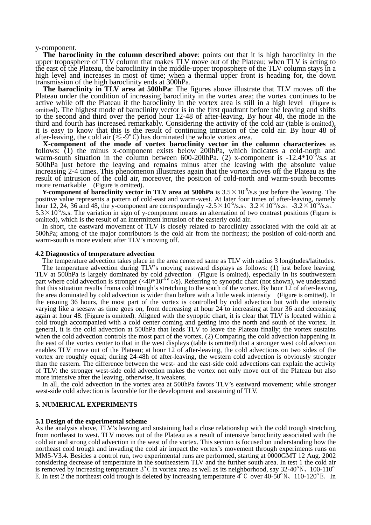y-component.

**The baroclinity in the column described above**: points out that it is high baroclinity in the upper troposphere of TLV column that makes TLV move out of the Plateau; when TLV is acting to the east of the Plateau, the baroclinity in the middle-upper troposphere of the TLV column stays in a high level and increases in most of time; when a thermal upper front is heading for, the down transmission of the high baroclinity ends at 300hPa.

**The baroclinity in TLV area at 500hPa**: The figures above illustrate that TLV moves off the Plateau under the condition of increasing baroclinity in the vortex area; the vortex continues to be active while off the Plateau if the baroclinity in the vortex area is still in a high level (Figure is omitted). The highest mode of baroclinity vector is in the first quadrant before the leaving and shifts to the second and third over the period hour 12-48 of after-leaving. By hour 48, the mode in the third and fourth has increased remarkably. Considering the activity of the cold air (table is omitted), it is easy to know that this is the result of continuing intrusion of the cold air. By hour 48 of after-leaving, the cold air ( $\leq$ -9°C) has dominated the whole vortex area.

**X-component of the mode of vortex baroclinity vector in the column characterizes** as follows: (1) the minus x-component exists below 200hPa, which indicates a cold-north and warm-south situation in the column between 600-200hPa. (2) x-component is -12.4\*10-5/s**.**s at 500hPa just before the leaving and remains minus after the leaving with the absolute value increasing 2-4 times. This phenomenon illustrates again that the vortex moves off the Plateau as the result of intrusion of the cold air, moreover, the position of cold-north and warm-south becomes more remarkable (Figure is omitted).<br>**Y-component of baroclinity vector in TLV area at 500hPa** is  $3.5 \times 10^{-5}$ /s.s just before the leaving. The

positive value represents a pattern of cold-east and warm-west. At later four times of after-leaving, namely hour 12, 24, 36 and 48, the y-component are correspondingly  $-2.5 \times 10^{-5}/s$ **.s**,  $3.2 \times 10^{-5}/s$ **.s**,  $-3.2 \times 10^{-5}/s$ **.s**.  $5.3 \times 10^{-5}$ /s.s. The variation in sign of y-component means an alternation of two contrast positions (Figure is

omitted), which is the result of an intermittent intrusion of the easterly cold air. In short, the eastward movement of TLV is closely related to baroclinity associated with the cold air at 500hPa; among of the major contributors is the cold air from the northeast; the position of cold-north and warm-south is more evident after TLV's moving off.

#### **4.2 Diagnostics of temperature advection**

The temperature advection takes place in the area centered same as TLV with radius 3 longitudes/latitudes. The temperature advection during TLV's moving eastward displays as follows: (1) just before leaving, TLV at 500hPa is largely dominated by cold advection (Figure is omitted), especially in its southwestern part where cold advection is stronger  $(<40*10<sup>-6</sup> \text{ e/s})$ . Referring to synoptic chart (not shown), we understand that this situation results froma cold trough's stretching to the south of the vortex. By hour 12 of after-leaving, the area dominated by cold advection is wider than before with a little weak intensity (Figure is omitted). In the ensuing 36 hours, the most part of the vortex is controlled by cold advection but with the intensity varying like a seesaw as time goes on, from decreasing at hour 24 to increasing at hour 36 and decreasing again at hour 48. (Figure is omitted). Aligned with the synoptic chart, it is clear that TLV is located within a cold trough accompanied with a cold center coming and getting into the north and south of the vortex. In general, it is the cold advection at 500hPa that leads TLV to leave the Plateau finally; the vortex sustains when the cold advection controls the most part of the vortex. (2) Comparing the cold advection happening in the east of the vortex center to that in the west displays (table is omitted) that a stronger west cold advection enables TLV move out of the Plateau; at hour 12 of after-leaving, the cold advections on two sides of the vortex are roughly equal; during 24-48h of after-leaving, the western cold advection is obviously stronger than the eastern. The difference between the west- and the east-side cold advections can explain the activity of TLV: the stronger west-side cold advection makes the vortex not only move out of the Plateau but also more intensive after the leaving, otherwise, it weakens.

In all, the cold advection in the vortex area at 500hPa favors TLV's eastward movement; while stronger west-side cold advection is favorable for the development and sustaining of TLV.

## **5. NUMERICAL EXPERIMENTS**

### **5.1 Design of the experimental scheme**

As the analysis above, TLV's leaving and sustaining had a close relationship with the cold trough stretching from northeast to west. TLV moves out of the Plateau as a result of intensive baroclinity associated with the cold air and strong cold advection in the west of the vortex. This section is focused on understanding how the northeast cold trough and invading the cold air impact the vortex's movement through experiments runs on MM5-V3.4. Besides a control run, two experimental runs are performed, starting at 0000GMT 12 Aug. 2002 considering decrease of temperature in the southeastern TLV and the further south area. In test 1 the cold air is removed by increasing temperature  $3^{\circ}$ C in vortex area as well as its neighborhood, say 32-40° N, 100-11 E. In test 2 the northeast cold trough is deleted by increasing temperature  $4^{\circ}$ C over  $40-50^{\circ}$ N、110-120<sup>°</sup>E. In